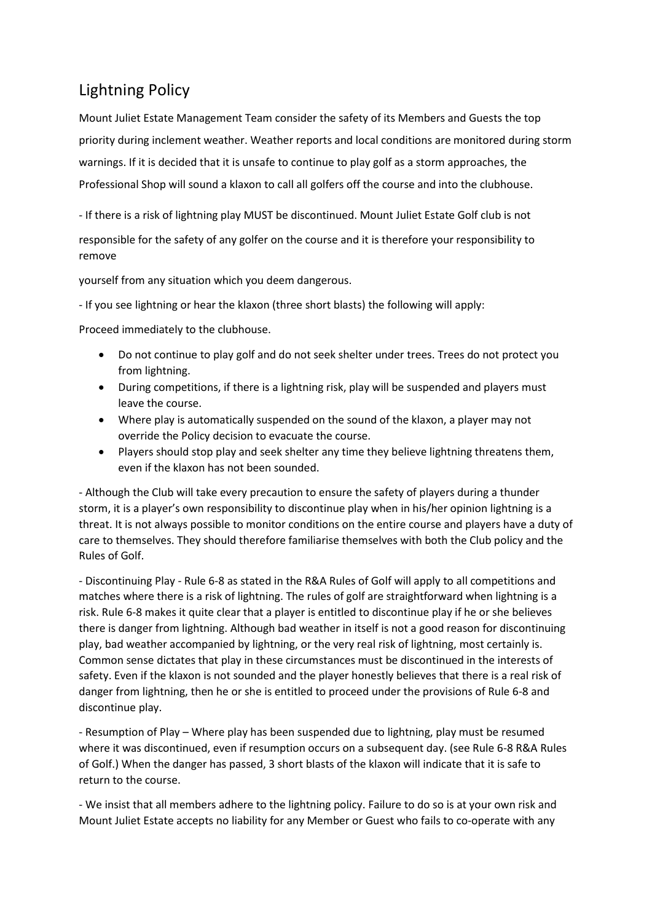## Lightning Policy

Mount Juliet Estate Management Team consider the safety of its Members and Guests the top priority during inclement weather. Weather reports and local conditions are monitored during storm warnings. If it is decided that it is unsafe to continue to play golf as a storm approaches, the Professional Shop will sound a klaxon to call all golfers off the course and into the clubhouse.

- If there is a risk of lightning play MUST be discontinued. Mount Juliet Estate Golf club is not

responsible for the safety of any golfer on the course and it is therefore your responsibility to remove

yourself from any situation which you deem dangerous.

- If you see lightning or hear the klaxon (three short blasts) the following will apply:

Proceed immediately to the clubhouse.

- Do not continue to play golf and do not seek shelter under trees. Trees do not protect you from lightning.
- During competitions, if there is a lightning risk, play will be suspended and players must leave the course.
- Where play is automatically suspended on the sound of the klaxon, a player may not override the Policy decision to evacuate the course.
- Players should stop play and seek shelter any time they believe lightning threatens them, even if the klaxon has not been sounded.

- Although the Club will take every precaution to ensure the safety of players during a thunder storm, it is a player's own responsibility to discontinue play when in his/her opinion lightning is a threat. It is not always possible to monitor conditions on the entire course and players have a duty of care to themselves. They should therefore familiarise themselves with both the Club policy and the Rules of Golf.

- Discontinuing Play - Rule 6-8 as stated in the R&A Rules of Golf will apply to all competitions and matches where there is a risk of lightning. The rules of golf are straightforward when lightning is a risk. Rule 6-8 makes it quite clear that a player is entitled to discontinue play if he or she believes there is danger from lightning. Although bad weather in itself is not a good reason for discontinuing play, bad weather accompanied by lightning, or the very real risk of lightning, most certainly is. Common sense dictates that play in these circumstances must be discontinued in the interests of safety. Even if the klaxon is not sounded and the player honestly believes that there is a real risk of danger from lightning, then he or she is entitled to proceed under the provisions of Rule 6-8 and discontinue play.

- Resumption of Play – Where play has been suspended due to lightning, play must be resumed where it was discontinued, even if resumption occurs on a subsequent day. (see Rule 6-8 R&A Rules of Golf.) When the danger has passed, 3 short blasts of the klaxon will indicate that it is safe to return to the course.

- We insist that all members adhere to the lightning policy. Failure to do so is at your own risk and Mount Juliet Estate accepts no liability for any Member or Guest who fails to co-operate with any